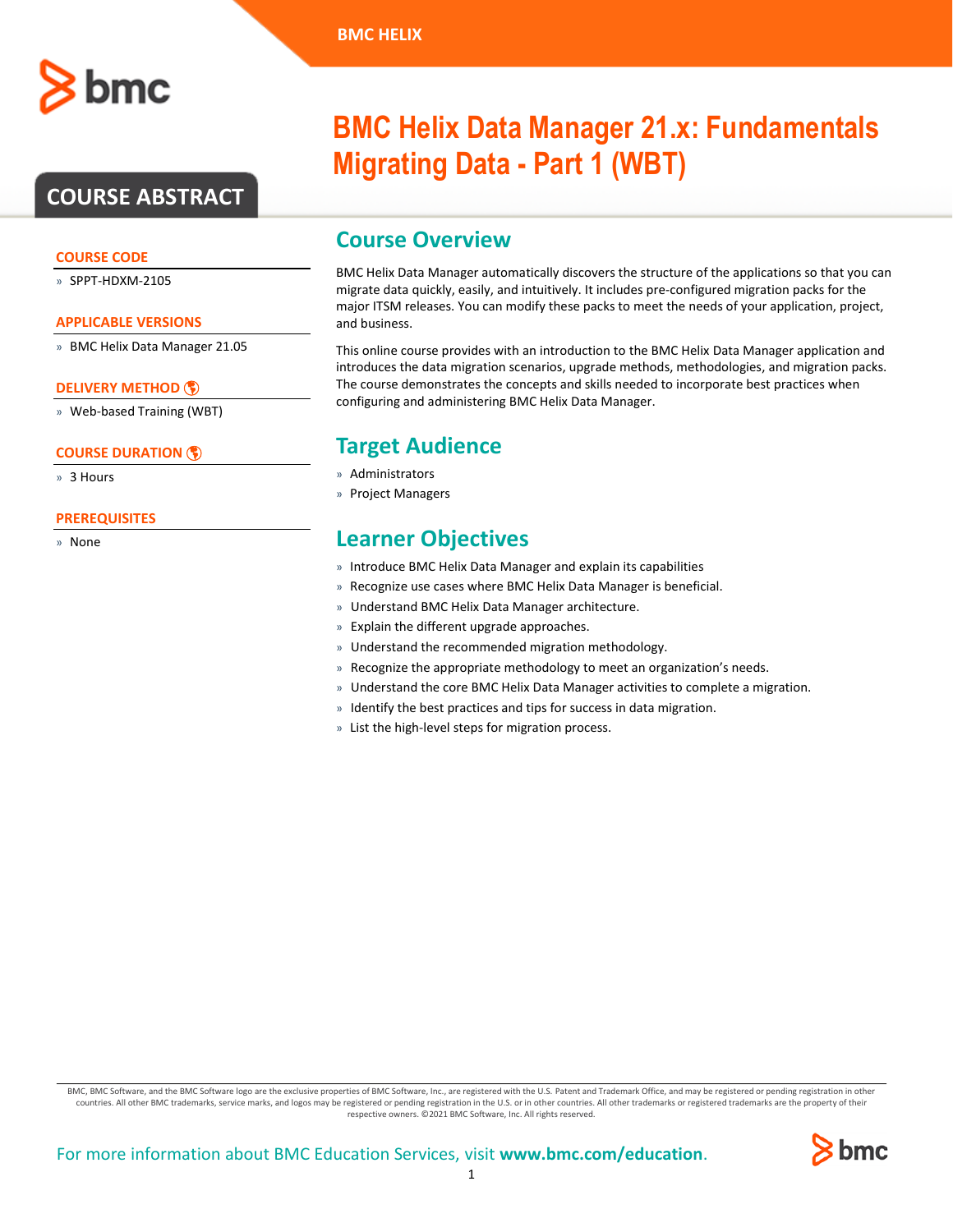## **COURSE ABSTRACT**

### **COURSE CODE**

» SPPT-HDXM-2105

#### **APPLICABLE VERSIONS**

» BMC Helix Data Manager 21.05

### **[DELIVERY METHOD](http://www.bmc.com/education/modality.html)**

» Web-based Training (WBT)

### **[COURSE DURATION](http://www.bmc.com/education/learning-paths/education-filters-learning-paths.html)**

» 3 Hours

### **PREREQUISITES**

» None

# **BMC Helix Data Manager 21.x: Fundamentals Migrating Data - Part 1 (WBT)**

### **Course Overview**

BMC Helix Data Manager automatically discovers the structure of the applications so that you can migrate data quickly, easily, and intuitively. It includes pre-configured migration packs for the major ITSM releases. You can modify these packs to meet the needs of your application, project, and business.

This online course provides with an introduction to the BMC Helix Data Manager application and introduces the data migration scenarios, upgrade methods, methodologies, and migration packs. The course demonstrates the concepts and skills needed to incorporate best practices when configuring and administering BMC Helix Data Manager.

### **Target Audience**

- » Administrators
- » Project Managers

### **Learner Objectives**

- » Introduce BMC Helix Data Manager and explain its capabilities
- » Recognize use cases where BMC Helix Data Manager is beneficial.
- » Understand BMC Helix Data Manager architecture.
- » Explain the different upgrade approaches.
- » Understand the recommended migration methodology.
- » Recognize the appropriate methodology to meet an organization's needs.
- » Understand the core BMC Helix Data Manager activities to complete a migration.
- » Identify the best practices and tips for success in data migration.
- » List the high-level steps for migration process.

BMC, BMC Software, and the BMC Software logo are the exclusive properties of BMC Software, Inc., are registered with the U.S. Patent and Trademark Office, and may be registered or pending registration in other countries. All other BMC trademarks, service marks, and logos may be registered or pending registration in the U.S. or in other countries. All other trademarks or registered trademarks are the property of their respective owners. ©2021 BMC Software, Inc. All rights reserved.